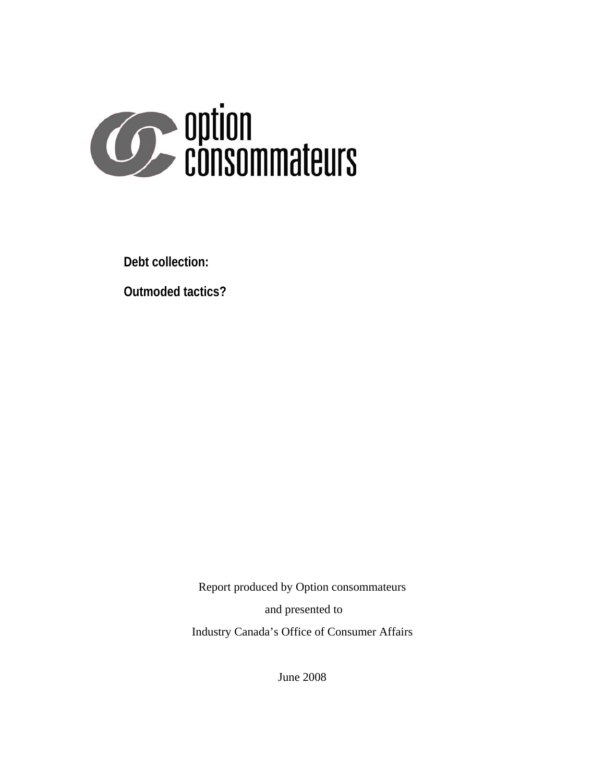

**Debt collection:** 

**Outmoded tactics?**

Report produced by Option consommateurs and presented to Industry Canada's Office of Consumer Affairs

June 2008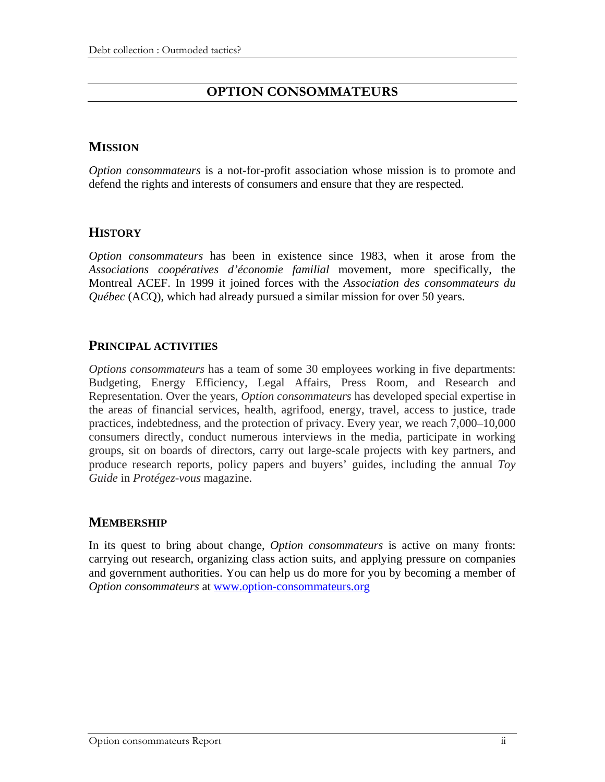# **OPTION CONSOMMATEURS**

## **MISSION**

*Option consommateurs* is a not-for-profit association whose mission is to promote and defend the rights and interests of consumers and ensure that they are respected.

## **HISTORY**

*Option consommateurs* has been in existence since 1983, when it arose from the *Associations coopératives d'économie familial* movement, more specifically, the Montreal ACEF. In 1999 it joined forces with the *Association des consommateurs du Québec* (ACQ), which had already pursued a similar mission for over 50 years.

## **PRINCIPAL ACTIVITIES**

*Options consommateurs* has a team of some 30 employees working in five departments: Budgeting, Energy Efficiency, Legal Affairs, Press Room, and Research and Representation. Over the years, *Option consommateurs* has developed special expertise in the areas of financial services, health, agrifood, energy, travel, access to justice, trade practices, indebtedness, and the protection of privacy. Every year, we reach 7,000–10,000 consumers directly, conduct numerous interviews in the media, participate in working groups, sit on boards of directors, carry out large-scale projects with key partners, and produce research reports, policy papers and buyers' guides, including the annual *Toy Guide* in *Protégez-vous* magazine.

## **MEMBERSHIP**

In its quest to bring about change, *Option consommateurs* is active on many fronts: carrying out research, organizing class action suits, and applying pressure on companies and government authorities. You can help us do more for you by becoming a member of *Option consommateurs* at [www.option-consommateurs.org](http://www.option-consommateurs.org/)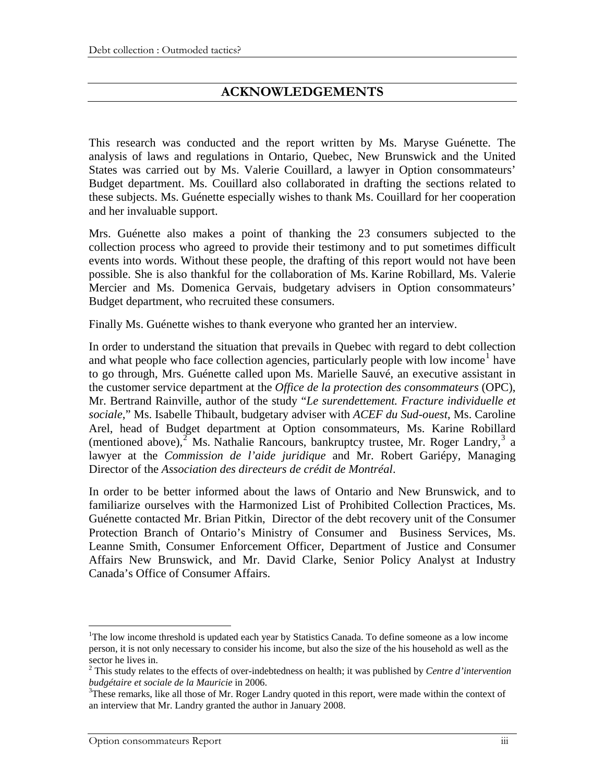# **ACKNOWLEDGEMENTS**

This research was conducted and the report written by Ms. Maryse Guénette. The analysis of laws and regulations in Ontario, Quebec, New Brunswick and the United States was carried out by Ms. Valerie Couillard, a lawyer in Option consommateurs' Budget department. Ms. Couillard also collaborated in drafting the sections related to these subjects. Ms. Guénette especially wishes to thank Ms. Couillard for her cooperation and her invaluable support.

Mrs. Guénette also makes a point of thanking the 23 consumers subjected to the collection process who agreed to provide their testimony and to put sometimes difficult events into words. Without these people, the drafting of this report would not have been possible. She is also thankful for the collaboration of Ms. Karine Robillard, Ms. Valerie Mercier and Ms. Domenica Gervais, budgetary advisers in Option consommateurs' Budget department, who recruited these consumers.

Finally Ms. Guénette wishes to thank everyone who granted her an interview.

In order to understand the situation that prevails in Quebec with regard to debt collection and what people who face collection agencies, particularly people with low income<sup>[1](#page-2-0)</sup> have to go through, Mrs. Guénette called upon Ms. Marielle Sauvé, an executive assistant in the customer service department at the *Office de la protection des consommateurs* (OPC), Mr. Bertrand Rainville, author of the study "*Le surendettement. Fracture individuelle et sociale*," Ms. Isabelle Thibault, budgetary adviser with *ACEF du Sud-ouest*, Ms. Caroline Arel, head of Budget department at Option consommateurs, Ms. Karine Robillard (mentioned above), $2^7$  $2^7$  Ms. Nathalie Rancours, bankruptcy trustee, Mr. Roger Landry, $3^7$  $3^7$  a lawyer at the *Commission de l'aide juridique* and Mr. Robert Gariépy, Managing Director of the *Association des directeurs de crédit de Montréal*.

In order to be better informed about the laws of Ontario and New Brunswick, and to familiarize ourselves with the Harmonized List of Prohibited Collection Practices, Ms. Guénette contacted Mr. Brian Pitkin, Director of the debt recovery unit of the Consumer Protection Branch of Ontario's Ministry of Consumer and Business Services, Ms. Leanne Smith, Consumer Enforcement Officer, Department of Justice and Consumer Affairs New Brunswick, and Mr. David Clarke, Senior Policy Analyst at Industry Canada's Office of Consumer Affairs.

 $\overline{a}$ 

<span id="page-2-0"></span><sup>&</sup>lt;sup>1</sup>The low income threshold is updated each year by Statistics Canada. To define someone as a low income person, it is not only necessary to consider his income, but also the size of the his household as well as the sector he lives in.

<span id="page-2-1"></span><sup>2</sup> This study relates to the effects of over-indebtedness on health; it was published by *Centre d'intervention budgétaire et sociale de la Mauricie* in 2006. 3

<span id="page-2-2"></span> $<sup>3</sup>$ These remarks, like all those of Mr. Roger Landry quoted in this report, were made within the context of</sup> an interview that Mr. Landry granted the author in January 2008.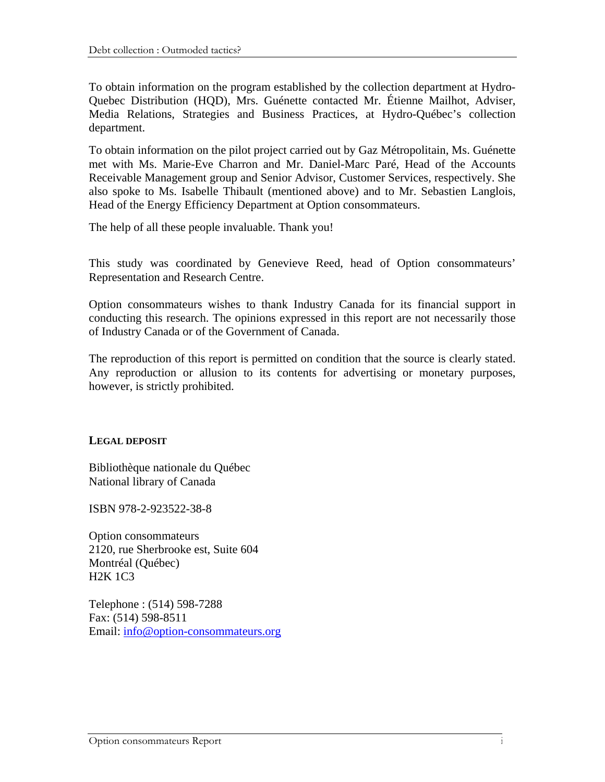To obtain information on the program established by the collection department at Hydro-Quebec Distribution (HQD), Mrs. Guénette contacted Mr. Étienne Mailhot, Adviser, Media Relations, Strategies and Business Practices, at Hydro-Québec's collection department.

To obtain information on the pilot project carried out by Gaz Métropolitain, Ms. Guénette met with Ms. Marie-Eve Charron and Mr. Daniel-Marc Paré, Head of the Accounts Receivable Management group and Senior Advisor, Customer Services, respectively. She also spoke to Ms. Isabelle Thibault (mentioned above) and to Mr. Sebastien Langlois, Head of the Energy Efficiency Department at Option consommateurs.

The help of all these people invaluable. Thank you!

This study was coordinated by Genevieve Reed, head of Option consommateurs' Representation and Research Centre.

Option consommateurs wishes to thank Industry Canada for its financial support in conducting this research. The opinions expressed in this report are not necessarily those of Industry Canada or of the Government of Canada.

The reproduction of this report is permitted on condition that the source is clearly stated. Any reproduction or allusion to its contents for advertising or monetary purposes, however, is strictly prohibited.

## **LEGAL DEPOSIT**

Bibliothèque nationale du Québec National library of Canada

ISBN 978-2-923522-38-8

Option consommateurs 2120, rue Sherbrooke est, Suite 604 Montréal (Québec) H2K 1C3

Telephone : (514) 598-7288 Fax: (514) 598-8511 Email: [info@option-consommateurs.org](mailto:info@option-consommateurs.org)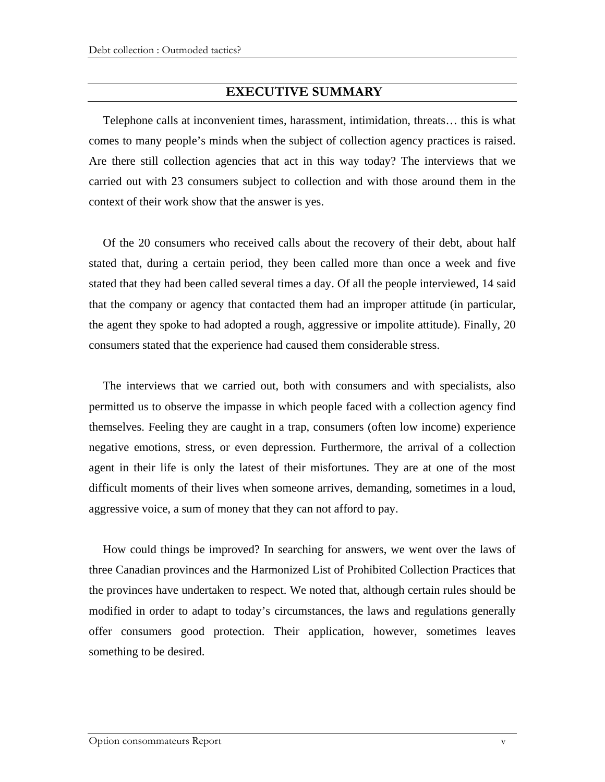### **EXECUTIVE SUMMARY**

Telephone calls at inconvenient times, harassment, intimidation, threats… this is what comes to many people's minds when the subject of collection agency practices is raised. Are there still collection agencies that act in this way today? The interviews that we carried out with 23 consumers subject to collection and with those around them in the context of their work show that the answer is yes.

Of the 20 consumers who received calls about the recovery of their debt, about half stated that, during a certain period, they been called more than once a week and five stated that they had been called several times a day. Of all the people interviewed, 14 said that the company or agency that contacted them had an improper attitude (in particular, the agent they spoke to had adopted a rough, aggressive or impolite attitude). Finally, 20 consumers stated that the experience had caused them considerable stress.

The interviews that we carried out, both with consumers and with specialists, also permitted us to observe the impasse in which people faced with a collection agency find themselves. Feeling they are caught in a trap, consumers (often low income) experience negative emotions, stress, or even depression. Furthermore, the arrival of a collection agent in their life is only the latest of their misfortunes. They are at one of the most difficult moments of their lives when someone arrives, demanding, sometimes in a loud, aggressive voice, a sum of money that they can not afford to pay.

How could things be improved? In searching for answers, we went over the laws of three Canadian provinces and the Harmonized List of Prohibited Collection Practices that the provinces have undertaken to respect. We noted that, although certain rules should be modified in order to adapt to today's circumstances, the laws and regulations generally offer consumers good protection. Their application, however, sometimes leaves something to be desired.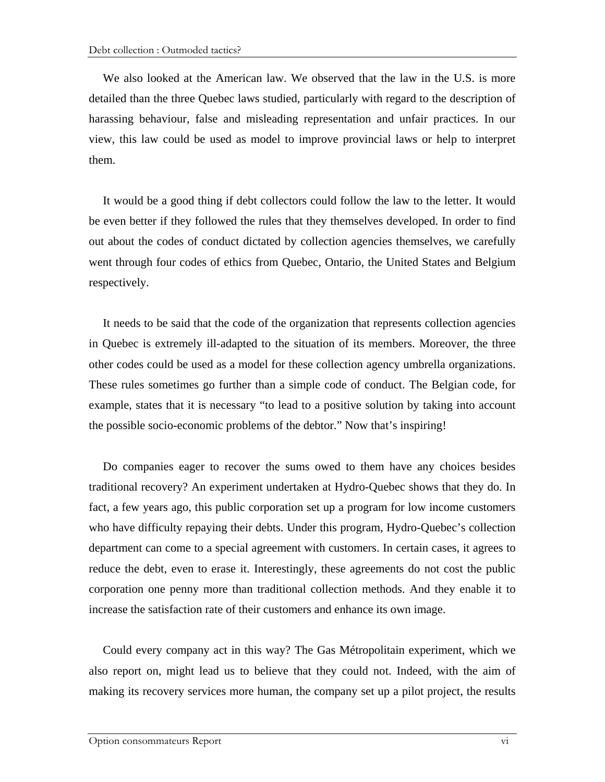We also looked at the American law. We observed that the law in the U.S. is more detailed than the three Quebec laws studied, particularly with regard to the description of harassing behaviour, false and misleading representation and unfair practices. In our view, this law could be used as model to improve provincial laws or help to interpret them.

It would be a good thing if debt collectors could follow the law to the letter. It would be even better if they followed the rules that they themselves developed. In order to find out about the codes of conduct dictated by collection agencies themselves, we carefully went through four codes of ethics from Quebec, Ontario, the United States and Belgium respectively.

It needs to be said that the code of the organization that represents collection agencies in Quebec is extremely ill-adapted to the situation of its members. Moreover, the three other codes could be used as a model for these collection agency umbrella organizations. These rules sometimes go further than a simple code of conduct. The Belgian code, for example, states that it is necessary "to lead to a positive solution by taking into account the possible socio-economic problems of the debtor." Now that's inspiring!

Do companies eager to recover the sums owed to them have any choices besides traditional recovery? An experiment undertaken at Hydro-Quebec shows that they do. In fact, a few years ago, this public corporation set up a program for low income customers who have difficulty repaying their debts. Under this program, Hydro-Quebec's collection department can come to a special agreement with customers. In certain cases, it agrees to reduce the debt, even to erase it. Interestingly, these agreements do not cost the public corporation one penny more than traditional collection methods. And they enable it to increase the satisfaction rate of their customers and enhance its own image.

Could every company act in this way? The Gas Métropolitain experiment, which we also report on, might lead us to believe that they could not. Indeed, with the aim of making its recovery services more human, the company set up a pilot project, the results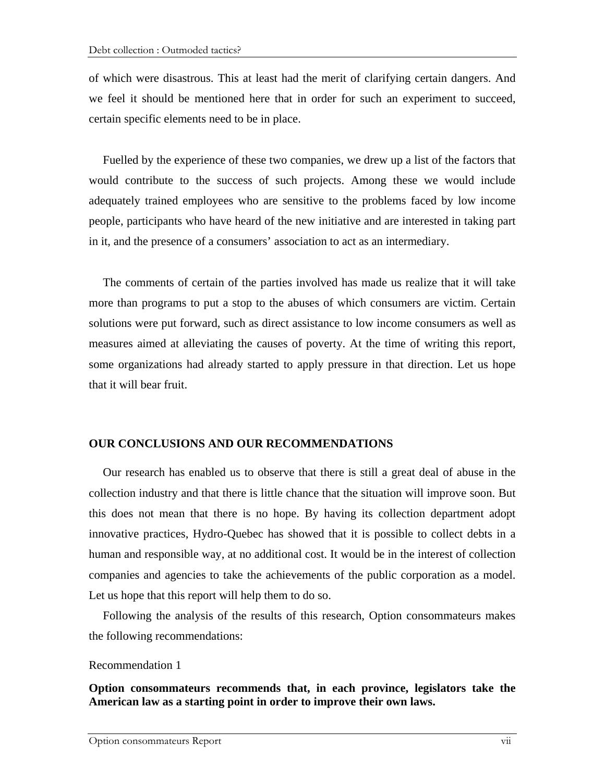of which were disastrous. This at least had the merit of clarifying certain dangers. And we feel it should be mentioned here that in order for such an experiment to succeed, certain specific elements need to be in place.

Fuelled by the experience of these two companies, we drew up a list of the factors that would contribute to the success of such projects. Among these we would include adequately trained employees who are sensitive to the problems faced by low income people, participants who have heard of the new initiative and are interested in taking part in it, and the presence of a consumers' association to act as an intermediary.

The comments of certain of the parties involved has made us realize that it will take more than programs to put a stop to the abuses of which consumers are victim. Certain solutions were put forward, such as direct assistance to low income consumers as well as measures aimed at alleviating the causes of poverty. At the time of writing this report, some organizations had already started to apply pressure in that direction. Let us hope that it will bear fruit.

#### **OUR CONCLUSIONS AND OUR RECOMMENDATIONS**

Our research has enabled us to observe that there is still a great deal of abuse in the collection industry and that there is little chance that the situation will improve soon. But this does not mean that there is no hope. By having its collection department adopt innovative practices, Hydro-Quebec has showed that it is possible to collect debts in a human and responsible way, at no additional cost. It would be in the interest of collection companies and agencies to take the achievements of the public corporation as a model. Let us hope that this report will help them to do so.

Following the analysis of the results of this research, Option consommateurs makes the following recommendations:

#### Recommendation 1

**Option consommateurs recommends that, in each province, legislators take the American law as a starting point in order to improve their own laws.**